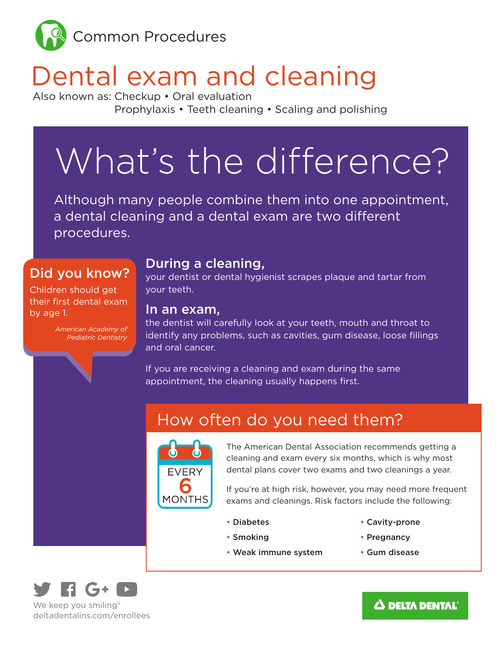

# Dental exam and cleaning

Also known as: Checkup • Oral evaluation Prophylaxis • Teeth cleaning • Scaling and polishing

# What's the difference?

Although many people combine them into one appointment, a dental cleaning and a dental exam are two different procedures.

#### Did you know?

Children should get their first dental exam by age 1.

> *American Academy of Pediatric Dentistry*

#### During a cleaning,

your dentist or dental hygienist scrapes plaque and tartar from your teeth.

#### In an exam,

the dentist will carefully look at your teeth, mouth and throat to identify any problems, such as cavities, gum disease, loose fillings and oral cancer.

If you are receiving a cleaning and exam during the same appointment, the cleaning usually happens first.

## How often do you need them?



The American Dental Association recommends getting a cleaning and exam every six months, which is why most dental plans cover two exams and two cleanings a year.

If you're at high risk, however, you may need more frequent exams and cleanings. Risk factors include the following:

• Diabetes

• Cavity-prone

• Pregnancy

- Smoking
- Weak immune system
- Gum disease



deltadentalins.com/enrollees

#### $\boldsymbol{\Delta}$  delta dental $^{\circ}$